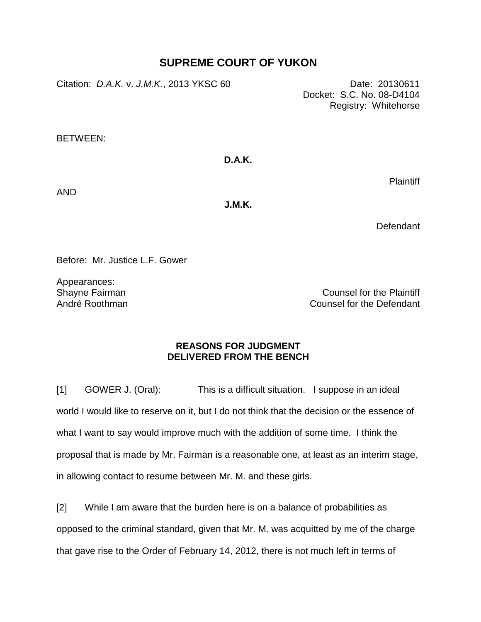## **SUPREME COURT OF YUKON**

Citation: *D.A.K. v. J.M.K.*, 2013 YKSC 60 Date: 20130611

Docket: S.C. No. 08-D4104 Registry: Whitehorse

BETWEEN:

## **D.A.K.**

Plaintiff

AND

**J.M.K.**

Defendant

Before: Mr. Justice L.F. Gower

Appearances: Shayne Fairman André Roothman

Counsel for the Plaintiff Counsel for the Defendant

## **REASONS FOR JUDGMENT DELIVERED FROM THE BENCH**

[1] GOWER J. (Oral): This is a difficult situation. I suppose in an ideal world I would like to reserve on it, but I do not think that the decision or the essence of what I want to say would improve much with the addition of some time. I think the proposal that is made by Mr. Fairman is a reasonable one, at least as an interim stage, in allowing contact to resume between Mr. M. and these girls.

[2] While I am aware that the burden here is on a balance of probabilities as opposed to the criminal standard, given that Mr. M. was acquitted by me of the charge that gave rise to the Order of February 14, 2012, there is not much left in terms of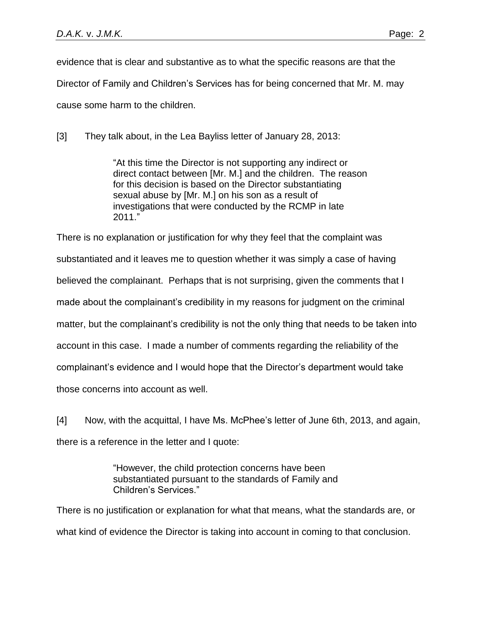evidence that is clear and substantive as to what the specific reasons are that the Director of Family and Children's Services has for being concerned that Mr. M. may cause some harm to the children.

[3] They talk about, in the Lea Bayliss letter of January 28, 2013:

"At this time the Director is not supporting any indirect or direct contact between [Mr. M.] and the children. The reason for this decision is based on the Director substantiating sexual abuse by [Mr. M.] on his son as a result of investigations that were conducted by the RCMP in late 2011."

There is no explanation or justification for why they feel that the complaint was substantiated and it leaves me to question whether it was simply a case of having believed the complainant. Perhaps that is not surprising, given the comments that I made about the complainant's credibility in my reasons for judgment on the criminal matter, but the complainant's credibility is not the only thing that needs to be taken into account in this case. I made a number of comments regarding the reliability of the complainant's evidence and I would hope that the Director's department would take those concerns into account as well.

[4] Now, with the acquittal, I have Ms. McPhee's letter of June 6th, 2013, and again, there is a reference in the letter and I quote:

> "However, the child protection concerns have been substantiated pursuant to the standards of Family and Children's Services."

There is no justification or explanation for what that means, what the standards are, or what kind of evidence the Director is taking into account in coming to that conclusion.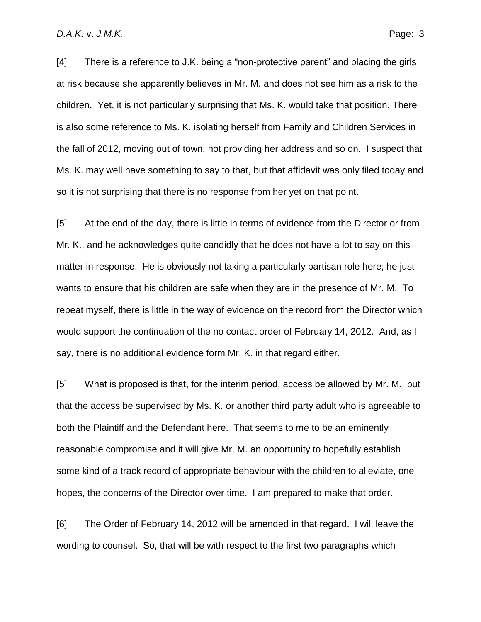[4] There is a reference to J.K. being a "non-protective parent" and placing the girls at risk because she apparently believes in Mr. M. and does not see him as a risk to the children. Yet, it is not particularly surprising that Ms. K. would take that position. There is also some reference to Ms. K. isolating herself from Family and Children Services in the fall of 2012, moving out of town, not providing her address and so on. I suspect that Ms. K. may well have something to say to that, but that affidavit was only filed today and so it is not surprising that there is no response from her yet on that point.

[5] At the end of the day, there is little in terms of evidence from the Director or from Mr. K., and he acknowledges quite candidly that he does not have a lot to say on this matter in response. He is obviously not taking a particularly partisan role here; he just wants to ensure that his children are safe when they are in the presence of Mr. M. To repeat myself, there is little in the way of evidence on the record from the Director which would support the continuation of the no contact order of February 14, 2012. And, as I say, there is no additional evidence form Mr. K. in that regard either.

[5] What is proposed is that, for the interim period, access be allowed by Mr. M., but that the access be supervised by Ms. K. or another third party adult who is agreeable to both the Plaintiff and the Defendant here. That seems to me to be an eminently reasonable compromise and it will give Mr. M. an opportunity to hopefully establish some kind of a track record of appropriate behaviour with the children to alleviate, one hopes, the concerns of the Director over time. I am prepared to make that order.

[6] The Order of February 14, 2012 will be amended in that regard. I will leave the wording to counsel. So, that will be with respect to the first two paragraphs which